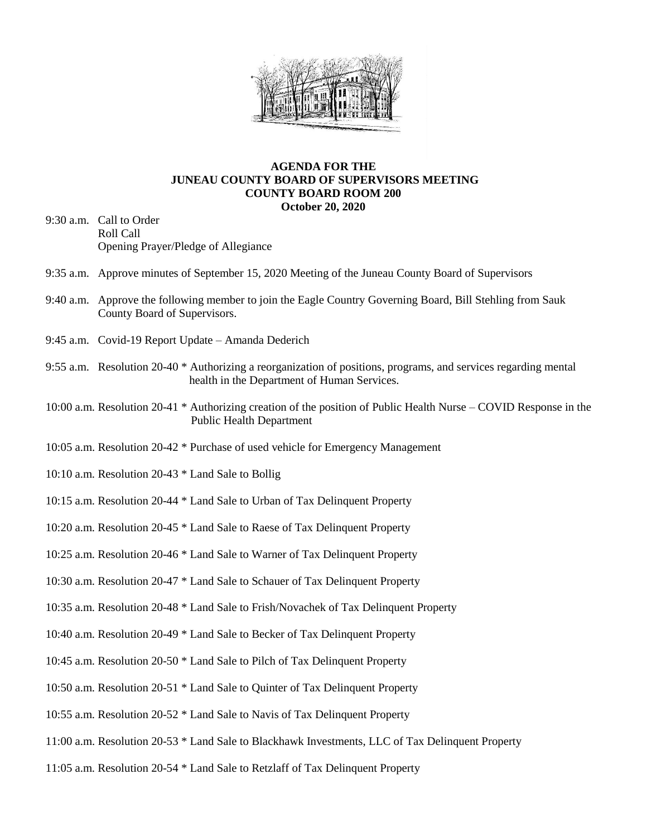

## **AGENDA FOR THE JUNEAU COUNTY BOARD OF SUPERVISORS MEETING COUNTY BOARD ROOM 200 October 20, 2020**

- 9:30 a.m. Call to Order Roll Call Opening Prayer/Pledge of Allegiance
- 9:35 a.m. Approve minutes of September 15, 2020 Meeting of the Juneau County Board of Supervisors
- 9:40 a.m. Approve the following member to join the Eagle Country Governing Board, Bill Stehling from Sauk County Board of Supervisors.
- 9:45 a.m. Covid-19 Report Update Amanda Dederich
- 9:55 a.m. Resolution 20-40 \* Authorizing a reorganization of positions, programs, and services regarding mental health in the Department of Human Services.
- 10:00 a.m. Resolution 20-41 \* Authorizing creation of the position of Public Health Nurse COVID Response in the Public Health Department
- 10:05 a.m. Resolution 20-42 \* Purchase of used vehicle for Emergency Management
- 10:10 a.m. Resolution 20-43 \* Land Sale to Bollig
- 10:15 a.m. Resolution 20-44 \* Land Sale to Urban of Tax Delinquent Property
- 10:20 a.m. Resolution 20-45 \* Land Sale to Raese of Tax Delinquent Property
- 10:25 a.m. Resolution 20-46 \* Land Sale to Warner of Tax Delinquent Property
- 10:30 a.m. Resolution 20-47 \* Land Sale to Schauer of Tax Delinquent Property
- 10:35 a.m. Resolution 20-48 \* Land Sale to Frish/Novachek of Tax Delinquent Property
- 10:40 a.m. Resolution 20-49 \* Land Sale to Becker of Tax Delinquent Property
- 10:45 a.m. Resolution 20-50 \* Land Sale to Pilch of Tax Delinquent Property
- 10:50 a.m. Resolution 20-51 \* Land Sale to Quinter of Tax Delinquent Property
- 10:55 a.m. Resolution 20-52 \* Land Sale to Navis of Tax Delinquent Property
- 11:00 a.m. Resolution 20-53 \* Land Sale to Blackhawk Investments, LLC of Tax Delinquent Property
- 11:05 a.m. Resolution 20-54 \* Land Sale to Retzlaff of Tax Delinquent Property